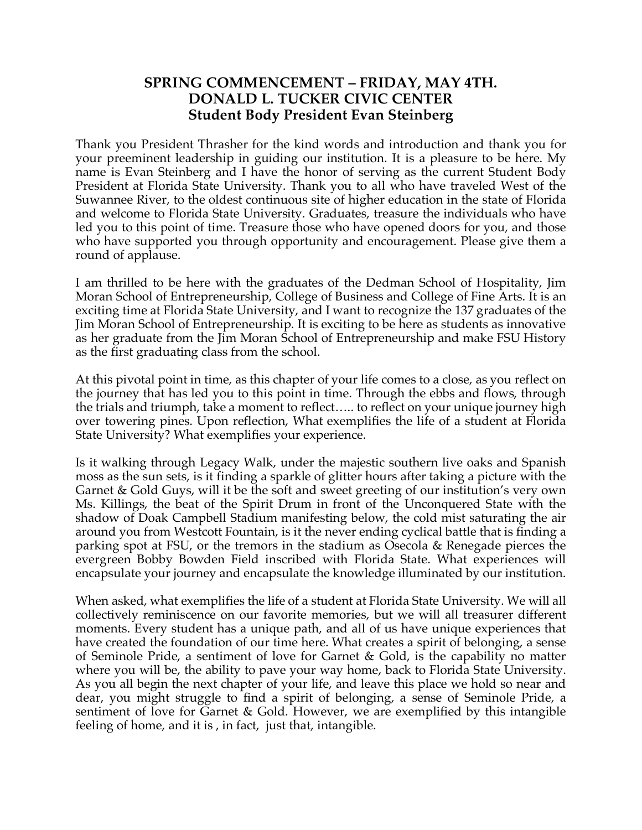## **SPRING COMMENCEMENT – FRIDAY, MAY 4TH. DONALD L. TUCKER CIVIC CENTER Student Body President Evan Steinberg**

Thank you President Thrasher for the kind words and introduction and thank you for your preeminent leadership in guiding our institution. It is a pleasure to be here. My name is Evan Steinberg and I have the honor of serving as the current Student Body President at Florida State University. Thank you to all who have traveled West of the Suwannee River, to the oldest continuous site of higher education in the state of Florida and welcome to Florida State University. Graduates, treasure the individuals who have led you to this point of time. Treasure those who have opened doors for you, and those who have supported you through opportunity and encouragement. Please give them a round of applause.

I am thrilled to be here with the graduates of the Dedman School of Hospitality, Jim Moran School of Entrepreneurship, College of Business and College of Fine Arts. It is an exciting time at Florida State University, and I want to recognize the 137 graduates of the Jim Moran School of Entrepreneurship. It is exciting to be here as students as innovative as her graduate from the Jim Moran School of Entrepreneurship and make FSU History as the first graduating class from the school.

At this pivotal point in time, as this chapter of your life comes to a close, as you reflect on the journey that has led you to this point in time. Through the ebbs and flows, through the trials and triumph, take a moment to reflect….. to reflect on your unique journey high over towering pines. Upon reflection, What exemplifies the life of a student at Florida State University? What exemplifies your experience.

Is it walking through Legacy Walk, under the majestic southern live oaks and Spanish moss as the sun sets, is it finding a sparkle of glitter hours after taking a picture with the Garnet & Gold Guys, will it be the soft and sweet greeting of our institution's very own Ms. Killings, the beat of the Spirit Drum in front of the Unconquered State with the shadow of Doak Campbell Stadium manifesting below, the cold mist saturating the air around you from Westcott Fountain, is it the never ending cyclical battle that is finding a parking spot at FSU, or the tremors in the stadium as Osecola & Renegade pierces the evergreen Bobby Bowden Field inscribed with Florida State. What experiences will encapsulate your journey and encapsulate the knowledge illuminated by our institution.

When asked, what exemplifies the life of a student at Florida State University. We will all collectively reminiscence on our favorite memories, but we will all treasurer different moments. Every student has a unique path, and all of us have unique experiences that have created the foundation of our time here. What creates a spirit of belonging, a sense of Seminole Pride, a sentiment of love for Garnet & Gold, is the capability no matter where you will be, the ability to pave your way home, back to Florida State University. As you all begin the next chapter of your life, and leave this place we hold so near and dear, you might struggle to find a spirit of belonging, a sense of Seminole Pride, a sentiment of love for Garnet & Gold. However, we are exemplified by this intangible feeling of home, and it is , in fact, just that, intangible.